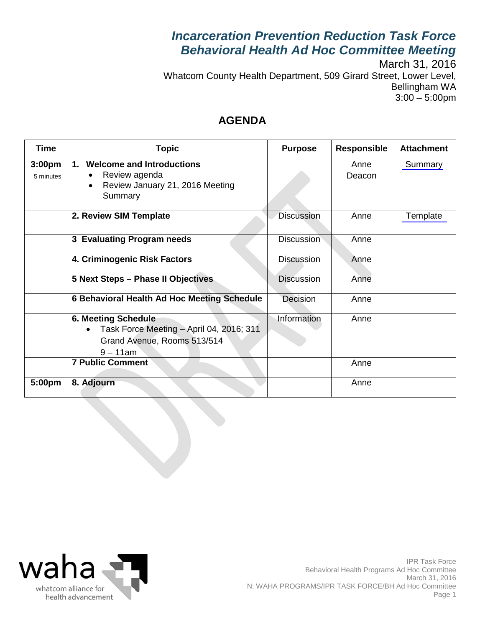# *Incarceration Prevention Reduction Task Force Behavioral Health Ad Hoc Committee Meeting*

March 31, 2016 Whatcom County Health Department, 509 Girard Street, Lower Level, Bellingham WA 3:00 – 5:00pm

## **AGENDA**

| <b>Time</b>                     | <b>Topic</b>                                                                                                         | <b>Purpose</b>    | <b>Responsible</b> | <b>Attachment</b> |
|---------------------------------|----------------------------------------------------------------------------------------------------------------------|-------------------|--------------------|-------------------|
| 3:00 <sub>pm</sub><br>5 minutes | <b>Welcome and Introductions</b><br>1.<br>Review agenda<br>Review January 21, 2016 Meeting<br>Summary                |                   | Anne<br>Deacon     | Summary           |
|                                 | 2. Review SIM Template                                                                                               | <b>Discussion</b> | Anne               | Template          |
|                                 | 3 Evaluating Program needs                                                                                           | <b>Discussion</b> | Anne               |                   |
|                                 | 4. Criminogenic Risk Factors                                                                                         | <b>Discussion</b> | Anne               |                   |
|                                 | 5 Next Steps - Phase II Objectives                                                                                   | <b>Discussion</b> | Anne               |                   |
|                                 | 6 Behavioral Health Ad Hoc Meeting Schedule                                                                          | Decision          | Anne               |                   |
|                                 | <b>6. Meeting Schedule</b><br>Task Force Meeting - April 04, 2016; 311<br>Grand Avenue, Rooms 513/514<br>$9 - 11$ am | Information       | Anne               |                   |
|                                 | <b>7 Public Comment</b>                                                                                              |                   | Anne               |                   |
| 5:00pm                          | 8. Adjourn                                                                                                           |                   | Anne               |                   |

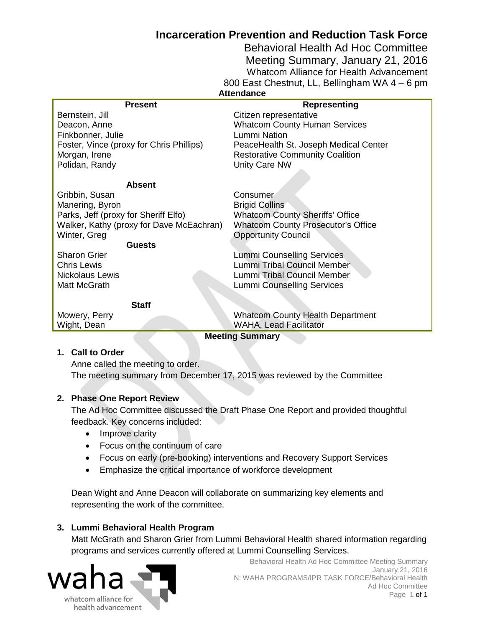## **Incarceration Prevention and Reduction Task Force**

Behavioral Health Ad Hoc Committee Meeting Summary, January 21, 2016 Whatcom Alliance for Health Advancement 800 East Chestnut, LL, Bellingham WA 4 – 6 pm

<span id="page-1-0"></span>

| <b>Attendance</b>                        |                                           |  |  |  |
|------------------------------------------|-------------------------------------------|--|--|--|
| <b>Present</b>                           | <b>Representing</b>                       |  |  |  |
| Bernstein, Jill                          | Citizen representative                    |  |  |  |
| Deacon, Anne                             | <b>Whatcom County Human Services</b>      |  |  |  |
| Finkbonner, Julie                        | <b>Lummi Nation</b>                       |  |  |  |
| Foster, Vince (proxy for Chris Phillips) | PeaceHealth St. Joseph Medical Center     |  |  |  |
| Morgan, Irene                            | <b>Restorative Community Coalition</b>    |  |  |  |
| Polidan, Randy                           | Unity Care NW                             |  |  |  |
|                                          |                                           |  |  |  |
| <b>Absent</b>                            |                                           |  |  |  |
| Gribbin, Susan                           | Consumer                                  |  |  |  |
| Manering, Byron                          | <b>Brigid Collins</b>                     |  |  |  |
| Parks, Jeff (proxy for Sheriff Elfo)     | <b>Whatcom County Sheriffs' Office</b>    |  |  |  |
| Walker, Kathy (proxy for Dave McEachran) | <b>Whatcom County Prosecutor's Office</b> |  |  |  |
| Winter, Greg                             | <b>Opportunity Council</b>                |  |  |  |
| <b>Guests</b>                            |                                           |  |  |  |
| <b>Sharon Grier</b>                      | Lummi Counselling Services                |  |  |  |
| <b>Chris Lewis</b>                       | Lummi Tribal Council Member               |  |  |  |
| <b>Nickolaus Lewis</b>                   | Lummi Tribal Council Member               |  |  |  |
| Matt McGrath                             | <b>Lummi Counselling Services</b>         |  |  |  |
|                                          |                                           |  |  |  |
| <b>Staff</b>                             |                                           |  |  |  |
| Mowery, Perry                            | <b>Whatcom County Health Department</b>   |  |  |  |
| Wight, Dean                              | WAHA, Lead Facilitator                    |  |  |  |
| <b>Meeting Summary</b>                   |                                           |  |  |  |

#### **1. Call to Order**

Anne called the meeting to order. The meeting summary from December 17, 2015 was reviewed by the Committee

#### **2. Phase One Report Review**

The Ad Hoc Committee discussed the Draft Phase One Report and provided thoughtful feedback. Key concerns included:

- Improve clarity
- Focus on the continuum of care
- Focus on early (pre-booking) interventions and Recovery Support Services
- Emphasize the critical importance of workforce development

Dean Wight and Anne Deacon will collaborate on summarizing key elements and representing the work of the committee.

#### **3. Lummi Behavioral Health Program**

Matt McGrath and Sharon Grier from Lummi Behavioral Health shared information regarding programs and services currently offered at Lummi Counselling Services.

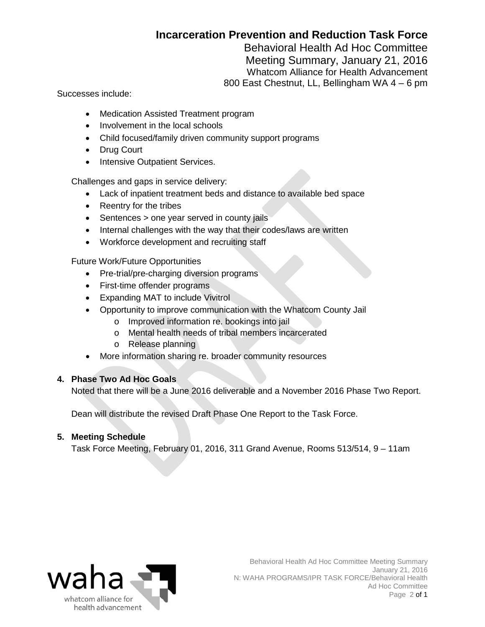## **Incarceration Prevention and Reduction Task Force**

Behavioral Health Ad Hoc Committee

Meeting Summary, January 21, 2016 Whatcom Alliance for Health Advancement 800 East Chestnut, LL, Bellingham WA 4 – 6 pm

Successes include:

- Medication Assisted Treatment program
- Involvement in the local schools
- Child focused/family driven community support programs
- Drug Court
- Intensive Outpatient Services.

Challenges and gaps in service delivery:

- Lack of inpatient treatment beds and distance to available bed space
- Reentry for the tribes
- Sentences > one year served in county jails
- Internal challenges with the way that their codes/laws are written
- Workforce development and recruiting staff

Future Work/Future Opportunities

- Pre-trial/pre-charging diversion programs
- First-time offender programs
- Expanding MAT to include Vivitrol
- Opportunity to improve communication with the Whatcom County Jail
	- o Improved information re. bookings into jail
	- o Mental health needs of tribal members incarcerated
	- o Release planning
- More information sharing re. broader community resources

#### **4. Phase Two Ad Hoc Goals**

Noted that there will be a June 2016 deliverable and a November 2016 Phase Two Report.

Dean will distribute the revised Draft Phase One Report to the Task Force.

#### **5. Meeting Schedule**

Task Force Meeting, February 01, 2016, 311 Grand Avenue, Rooms 513/514, 9 – 11am

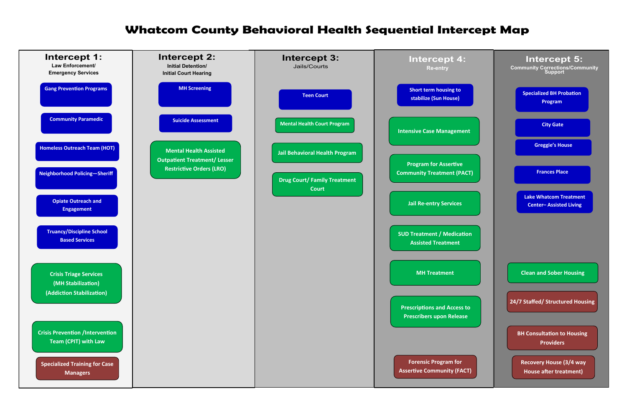# **Whatcom County Behavioral Health Sequential Intercept Map**

<span id="page-3-0"></span>